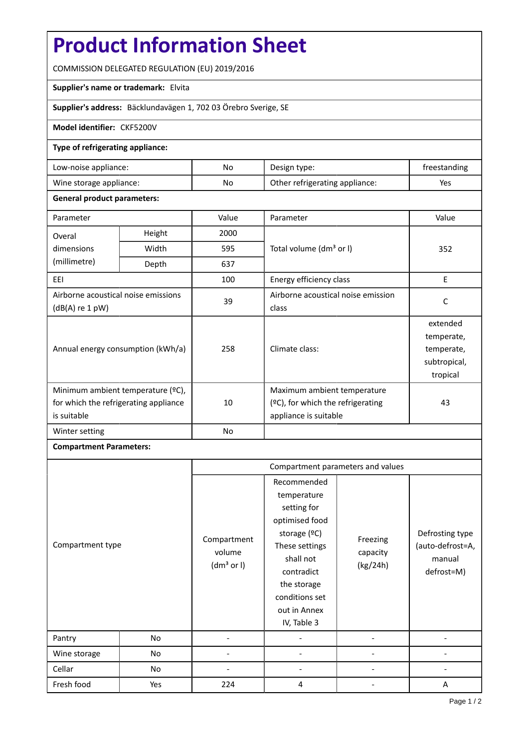# **Product Information Sheet**

COMMISSION DELEGATED REGULATION (EU) 2019/2016

## **Supplier's name or trademark:** Elvita

**Supplier's address:** Bäcklundavägen 1, 702 03 Örebro Sverige, SE

## **Model identifier:** CKF5200V

#### **Type of refrigerating appliance:**

| Low-noise appliance:    | No | Design type:                   | treestanding |
|-------------------------|----|--------------------------------|--------------|
| Wine storage appliance: | No | Other refrigerating appliance: | Yes          |

#### **General product parameters:**

| Parameter                                                                                 |                                                     | Value          | Parameter                                                                                    | Value                                                            |
|-------------------------------------------------------------------------------------------|-----------------------------------------------------|----------------|----------------------------------------------------------------------------------------------|------------------------------------------------------------------|
| Overal                                                                                    | Height                                              | 2000           |                                                                                              |                                                                  |
| dimensions                                                                                | Total volume (dm <sup>3</sup> or I)<br>Width<br>595 |                |                                                                                              | 352                                                              |
| (millimetre)                                                                              | Depth                                               | 637            |                                                                                              |                                                                  |
| EEI                                                                                       |                                                     | 100            | Energy efficiency class                                                                      | E                                                                |
| Airborne acoustical noise emissions<br>$(dB(A)$ re 1 pW)                                  |                                                     | 39             | Airborne acoustical noise emission<br>class                                                  | C                                                                |
| Annual energy consumption (kWh/a)                                                         |                                                     | 258            | Climate class:                                                                               | extended<br>temperate,<br>temperate,<br>subtropical,<br>tropical |
| Minimum ambient temperature (°C),<br>for which the refrigerating appliance<br>is suitable |                                                     | 10             | Maximum ambient temperature<br>$(2C)$ , for which the refrigerating<br>appliance is suitable | 43                                                               |
| Winter setting                                                                            |                                                     | N <sub>o</sub> |                                                                                              |                                                                  |

# **Compartment Parameters:**

|                  |     | Compartment parameters and values               |                                                                                                                                                                                          |                                  |                                                             |
|------------------|-----|-------------------------------------------------|------------------------------------------------------------------------------------------------------------------------------------------------------------------------------------------|----------------------------------|-------------------------------------------------------------|
| Compartment type |     | Compartment<br>volume<br>(dm <sup>3</sup> or I) | Recommended<br>temperature<br>setting for<br>optimised food<br>storage (ºC)<br>These settings<br>shall not<br>contradict<br>the storage<br>conditions set<br>out in Annex<br>IV, Table 3 | Freezing<br>capacity<br>(kg/24h) | Defrosting type<br>(auto-defrost=A,<br>manual<br>defrost=M) |
| Pantry           | No  |                                                 |                                                                                                                                                                                          |                                  |                                                             |
| Wine storage     | No  |                                                 |                                                                                                                                                                                          |                                  |                                                             |
| Cellar           | No  |                                                 |                                                                                                                                                                                          |                                  |                                                             |
| Fresh food       | Yes | 224                                             | 4                                                                                                                                                                                        |                                  | A                                                           |